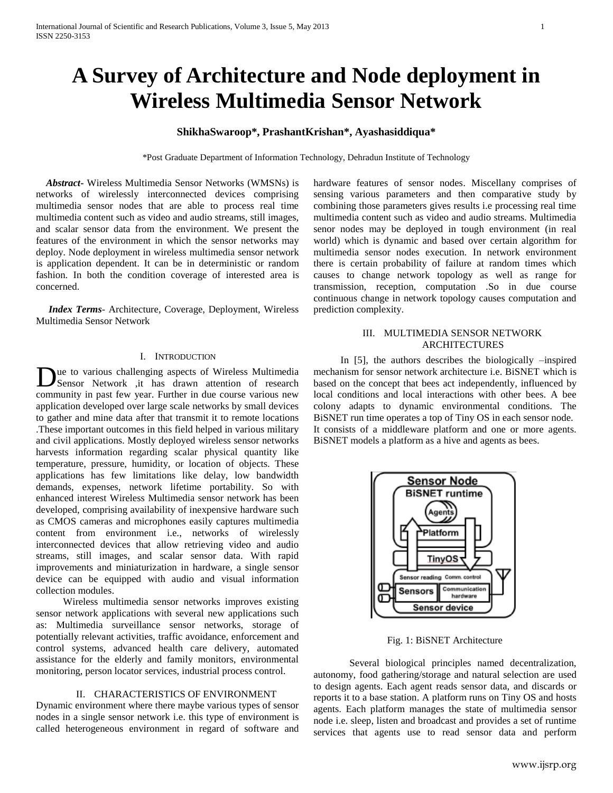# **A Survey of Architecture and Node deployment in Wireless Multimedia Sensor Network**

## **ShikhaSwaroop\*, PrashantKrishan\*, Ayashasiddiqua\***

\*Post Graduate Department of Information Technology, Dehradun Institute of Technology

 *Abstract***-** Wireless Multimedia Sensor Networks (WMSNs) is networks of wirelessly interconnected devices comprising multimedia sensor nodes that are able to process real time multimedia content such as video and audio streams, still images, and scalar sensor data from the environment. We present the features of the environment in which the sensor networks may deploy. Node deployment in wireless multimedia sensor network is application dependent. It can be in deterministic or random fashion. In both the condition coverage of interested area is concerned.

 *Index Terms*- Architecture, Coverage, Deployment, Wireless Multimedia Sensor Network

### I. INTRODUCTION

ue to various challenging aspects of Wireless Multimedia Due to various challenging aspects of Wireless Multimedia<br>Sensor Network ,it has drawn attention of research community in past few year. Further in due course various new application developed over large scale networks by small devices to gather and mine data after that transmit it to remote locations .These important outcomes in this field helped in various military and civil applications. Mostly deployed wireless sensor networks harvests information regarding scalar physical quantity like temperature, pressure, humidity, or location of objects. These applications has few limitations like delay, low bandwidth demands, expenses, network lifetime portability. So with enhanced interest Wireless Multimedia sensor network has been developed, comprising availability of inexpensive hardware such as CMOS cameras and microphones easily captures multimedia content from environment i.e., networks of wirelessly interconnected devices that allow retrieving video and audio streams, still images, and scalar sensor data. With rapid improvements and miniaturization in hardware, a single sensor device can be equipped with audio and visual information collection modules.

Wireless multimedia sensor networks improves existing sensor network applications with several new applications such as: Multimedia surveillance sensor networks, storage of potentially relevant activities, traffic avoidance, enforcement and control systems, advanced health care delivery, automated assistance for the elderly and family monitors, environmental monitoring, person locator services, industrial process control.

## II. CHARACTERISTICS OF ENVIRONMENT

Dynamic environment where there maybe various types of sensor nodes in a single sensor network i.e. this type of environment is called heterogeneous environment in regard of software and hardware features of sensor nodes. Miscellany comprises of sensing various parameters and then comparative study by combining those parameters gives results i.e processing real time multimedia content such as video and audio streams. Multimedia senor nodes may be deployed in tough environment (in real world) which is dynamic and based over certain algorithm for multimedia sensor nodes execution. In network environment there is certain probability of failure at random times which causes to change network topology as well as range for transmission, reception, computation .So in due course continuous change in network topology causes computation and prediction complexity.

### III. MULTIMEDIA SENSOR NETWORK ARCHITECTURES

In [5], the authors describes the biologically –inspired mechanism for sensor network architecture i.e. BiSNET which is based on the concept that bees act independently, influenced by local conditions and local interactions with other bees. A bee colony adapts to dynamic environmental conditions. The BiSNET run time operates a top of Tiny OS in each sensor node. It consists of a middleware platform and one or more agents. BiSNET models a platform as a hive and agents as bees.



Fig. 1: BiSNET Architecture

Several biological principles named decentralization, autonomy, food gathering/storage and natural selection are used to design agents. Each agent reads sensor data, and discards or reports it to a base station. A platform runs on Tiny OS and hosts agents. Each platform manages the state of multimedia sensor node i.e. sleep, listen and broadcast and provides a set of runtime services that agents use to read sensor data and perform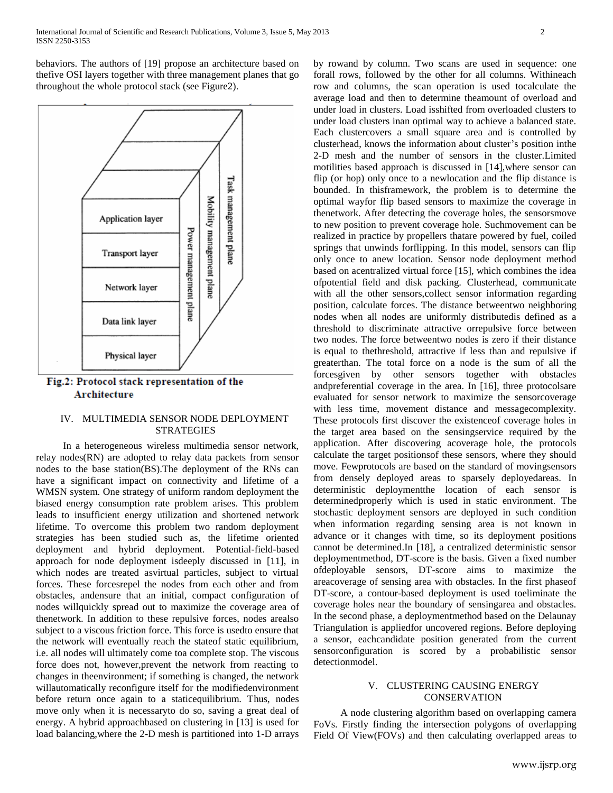behaviors. The authors of [19] propose an architecture based on thefive OSI layers together with three management planes that go throughout the whole protocol stack (see Figure2).



Fig.2: Protocol stack representation of the **Architecture** 

## IV. MULTIMEDIA SENSOR NODE DEPLOYMENT STRATEGIES

In a heterogeneous wireless multimedia sensor network, relay nodes(RN) are adopted to relay data packets from sensor nodes to the base station(BS).The deployment of the RNs can have a significant impact on connectivity and lifetime of a WMSN system. One strategy of uniform random deployment the biased energy consumption rate problem arises. This problem leads to insufficient energy utilization and shortened network lifetime. To overcome this problem two random deployment strategies has been studied such as, the lifetime oriented deployment and hybrid deployment. Potential-field-based approach for node deployment isdeeply discussed in [11], in which nodes are treated asvirtual particles, subject to virtual forces. These forcesrepel the nodes from each other and from obstacles, andensure that an initial, compact configuration of nodes willquickly spread out to maximize the coverage area of thenetwork. In addition to these repulsive forces, nodes arealso subject to a viscous friction force. This force is usedto ensure that the network will eventually reach the stateof static equilibrium, i.e. all nodes will ultimately come toa complete stop. The viscous force does not, however,prevent the network from reacting to changes in theenvironment; if something is changed, the network willautomatically reconfigure itself for the modifiedenvironment before return once again to a staticequilibrium. Thus, nodes move only when it is necessaryto do so, saving a great deal of energy. A hybrid approachbased on clustering in [13] is used for load balancing,where the 2-D mesh is partitioned into 1-D arrays by rowand by column. Two scans are used in sequence: one forall rows, followed by the other for all columns. Withineach row and columns, the scan operation is used tocalculate the average load and then to determine theamount of overload and under load in clusters. Load isshifted from overloaded clusters to under load clusters inan optimal way to achieve a balanced state. Each clustercovers a small square area and is controlled by clusterhead, knows the information about cluster's position inthe 2-D mesh and the number of sensors in the cluster.Limited motilities based approach is discussed in [14],where sensor can flip (or hop) only once to a newlocation and the flip distance is bounded. In thisframework, the problem is to determine the optimal wayfor flip based sensors to maximize the coverage in thenetwork. After detecting the coverage holes, the sensorsmove to new position to prevent coverage hole. Suchmovement can be realized in practice by propellers thatare powered by fuel, coiled springs that unwinds forflipping. In this model, sensors can flip only once to anew location. Sensor node deployment method based on acentralized virtual force [15], which combines the idea ofpotential field and disk packing. Clusterhead, communicate with all the other sensors,collect sensor information regarding position, calculate forces. The distance betweentwo neighboring nodes when all nodes are uniformly distributedis defined as a threshold to discriminate attractive orrepulsive force between two nodes. The force betweentwo nodes is zero if their distance is equal to thethreshold, attractive if less than and repulsive if greaterthan. The total force on a node is the sum of all the forcesgiven by other sensors together with obstacles andpreferential coverage in the area. In [16], three protocolsare evaluated for sensor network to maximize the sensorcoverage with less time, movement distance and messagecomplexity. These protocols first discover the existenceof coverage holes in the target area based on the sensingservice required by the application. After discovering acoverage hole, the protocols calculate the target positionsof these sensors, where they should move. Fewprotocols are based on the standard of movingsensors from densely deployed areas to sparsely deployedareas. In deterministic deploymentthe location of each sensor is determinedproperly which is used in static environment. The stochastic deployment sensors are deployed in such condition when information regarding sensing area is not known in advance or it changes with time, so its deployment positions cannot be determined.In [18], a centralized deterministic sensor deploymentmethod, DT-score is the basis. Given a fixed number ofdeployable sensors, DT-score aims to maximize the areacoverage of sensing area with obstacles. In the first phaseof DT-score, a contour-based deployment is used toeliminate the coverage holes near the boundary of sensingarea and obstacles. In the second phase, a deploymentmethod based on the Delaunay Triangulation is appliedfor uncovered regions. Before deploying a sensor, eachcandidate position generated from the current sensorconfiguration is scored by a probabilistic sensor detectionmodel.

## V. CLUSTERING CAUSING ENERGY CONSERVATION

A node clustering algorithm based on overlapping camera FoVs. Firstly finding the intersection polygons of overlapping Field Of View(FOVs) and then calculating overlapped areas to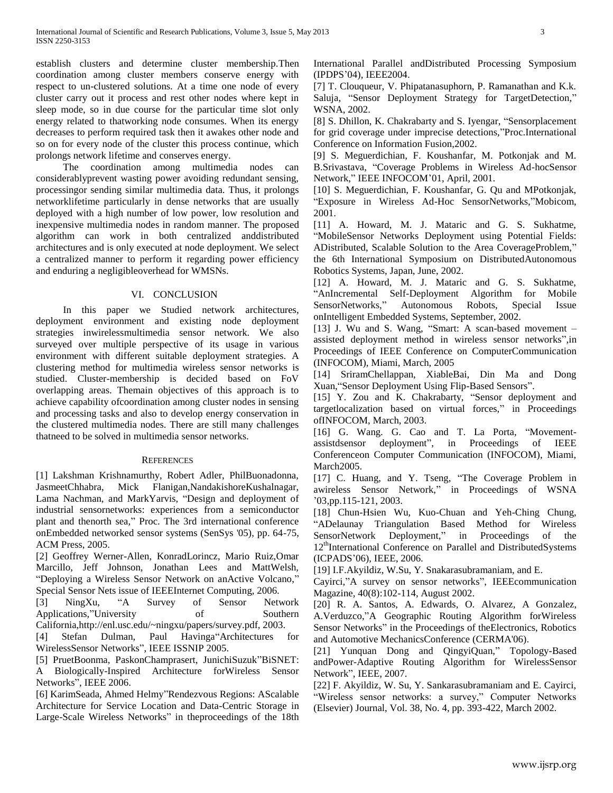establish clusters and determine cluster membership.Then coordination among cluster members conserve energy with respect to un-clustered solutions. At a time one node of every cluster carry out it process and rest other nodes where kept in sleep mode, so in due course for the particular time slot only energy related to thatworking node consumes. When its energy decreases to perform required task then it awakes other node and so on for every node of the cluster this process continue, which prolongs network lifetime and conserves energy.

The coordination among multimedia nodes can considerablyprevent wasting power avoiding redundant sensing, processingor sending similar multimedia data. Thus, it prolongs networklifetime particularly in dense networks that are usually deployed with a high number of low power, low resolution and inexpensive multimedia nodes in random manner. The proposed algorithm can work in both centralized anddistributed architectures and is only executed at node deployment. We select a centralized manner to perform it regarding power efficiency and enduring a negligibleoverhead for WMSNs.

## VI. CONCLUSION

In this paper we Studied network architectures, deployment environment and existing node deployment strategies inwirelessmultimedia sensor network. We also surveyed over multiple perspective of its usage in various environment with different suitable deployment strategies. A clustering method for multimedia wireless sensor networks is studied. Cluster-membership is decided based on FoV overlapping areas. Themain objectives of this approach is to achieve capability ofcoordination among cluster nodes in sensing and processing tasks and also to develop energy conservation in the clustered multimedia nodes. There are still many challenges thatneed to be solved in multimedia sensor networks.

#### **REFERENCES**

[1] Lakshman Krishnamurthy, Robert Adler, PhilBuonadonna, JasmeetChhabra, Mick Flanigan,NandakishoreKushalnagar, Lama Nachman, and MarkYarvis, "Design and deployment of industrial sensornetworks: experiences from a semiconductor plant and thenorth sea," Proc. The 3rd international conference onEmbedded networked sensor systems (SenSys '05), pp. 64-75, ACM Press, 2005.

[2] Geoffrey Werner-Allen, KonradLorincz, Mario Ruiz,Omar Marcillo, Jeff Johnson, Jonathan Lees and MattWelsh, "Deploying a Wireless Sensor Network on anActive Volcano," Special Sensor Nets issue of IEEEInternet Computing, 2006.

[3] NingXu, "A Survey of Sensor Network Applications,"University of Southern

California,http://enl.usc.edu/~ningxu/papers/survey.pdf, 2003. [4] Stefan Dulman, Paul Havinga"Architectures for WirelessSensor Networks", IEEE ISSNIP 2005.

[5] PruetBoonma, PaskonChamprasert, JunichiSuzuk"BiSNET: A Biologically-Inspired Architecture forWireless Sensor Networks", IEEE 2006.

[6] KarimSeada, Ahmed Helmy"Rendezvous Regions: AScalable Architecture for Service Location and Data-Centric Storage in Large-Scale Wireless Networks" in theproceedings of the 18th International Parallel andDistributed Processing Symposium (IPDPS'04), IEEE2004.

[7] T. Clouqueur, V. Phipatanasuphorn, P. Ramanathan and K.k. Saluja, "Sensor Deployment Strategy for TargetDetection," WSNA, 2002.

[8] S. Dhillon, K. Chakrabarty and S. Iyengar, "Sensorplacement for grid coverage under imprecise detections,"Proc.International Conference on Information Fusion,2002.

[9] S. Meguerdichian, F. Koushanfar, M. Potkonjak and M. B.Srivastava, "Coverage Problems in Wireless Ad-hocSensor Network," IEEE INFOCOM'01, April, 2001.

[10] S. Meguerdichian, F. Koushanfar, G. Qu and MPotkonjak, "Exposure in Wireless Ad-Hoc SensorNetworks,"Mobicom, 2001.

[11] A. Howard, M. J. Mataric and G. S. Sukhatme, "MobileSensor Networks Deployment using Potential Fields: ADistributed, Scalable Solution to the Area CoverageProblem," the 6th International Symposium on DistributedAutonomous Robotics Systems, Japan, June, 2002.

[12] A. Howard, M. J. Mataric and G. S. Sukhatme, "AnIncremental Self-Deployment Algorithm for Mobile SensorNetworks," Autonomous Robots, Special Issue onIntelligent Embedded Systems, September, 2002.

[13] J. Wu and S. Wang, "Smart: A scan-based movement – assisted deployment method in wireless sensor networks",in Proceedings of IEEE Conference on ComputerCommunication (INFOCOM), Miami, March, 2005

[14] SriramChellappan, XiableBai, Din Ma and Dong Xuan,"Sensor Deployment Using Flip-Based Sensors".

[15] Y. Zou and K. Chakrabarty, "Sensor deployment and targetlocalization based on virtual forces," in Proceedings ofINFOCOM, March, 2003.

[16] G. Wang. G. Cao and T. La Porta, "Movementassistdsensor deployment", in Proceedings of IEEE Conferenceon Computer Communication (INFOCOM), Miami, March2005.

[17] C. Huang, and Y. Tseng, "The Coverage Problem in awireless Sensor Network," in Proceedings of WSNA '03,pp.115-121, 2003.

[18] Chun-Hsien Wu, Kuo-Chuan and Yeh-Ching Chung, "ADelaunay Triangulation Based Method for Wireless SensorNetwork Deployment," in Proceedings of the 12<sup>th</sup>International Conference on Parallel and DistributedSystems (ICPADS'06), IEEE, 2006.

[19] I.F.Akyildiz, W.Su, Y. Snakarasubramaniam, and E.

Cayirci,"A survey on sensor networks", IEEEcommunication Magazine, 40(8):102-114, August 2002.

[20] R. A. Santos, A. Edwards, O. Alvarez, A Gonzalez, A.Verduzco,"A Geographic Routing Algorithm forWireless Sensor Networks" in the Proceedings of theElectronics, Robotics and Automotive MechanicsConference (CERMA'06).

[21] Yunquan Dong and QingyiQuan," Topology-Based andPower-Adaptive Routing Algorithm for WirelessSensor Network", IEEE, 2007.

[22] F. Akyildiz, W. Su, Y. Sankarasubramaniam and E. Cayirci, "Wireless sensor networks: a survey," Computer Networks (Elsevier) Journal, Vol. 38, No. 4, pp. 393-422, March 2002.